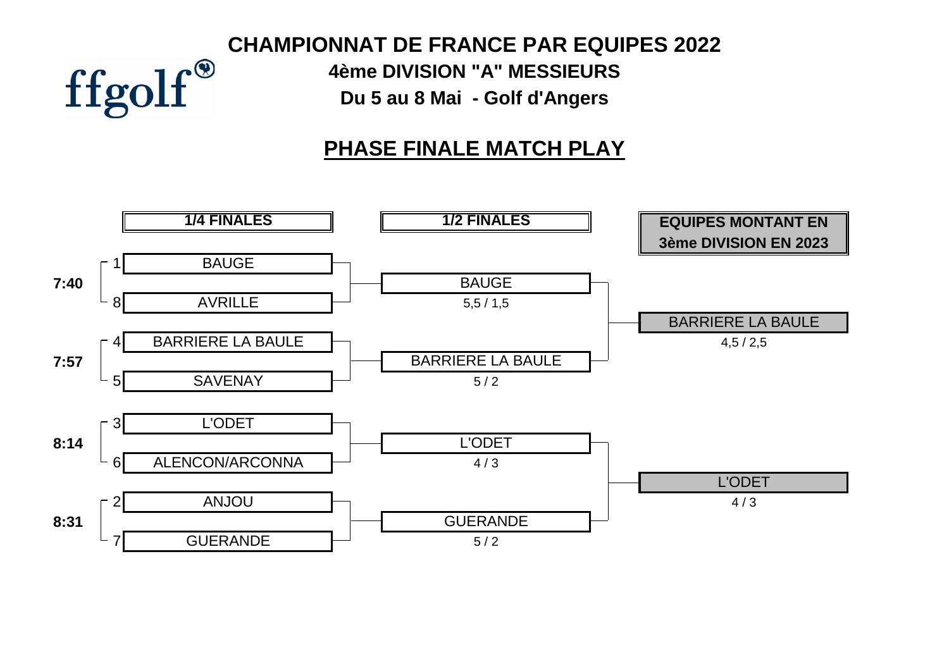# **CHAMPIONNAT DE FRANCE PAR EQUIPES 2022** ffgolf®

**4ème DIVISION "A" MESSIEURS Du 5 au 8 Mai - Golf d'Angers**

# **PHASE FINALE MATCH PLAY**

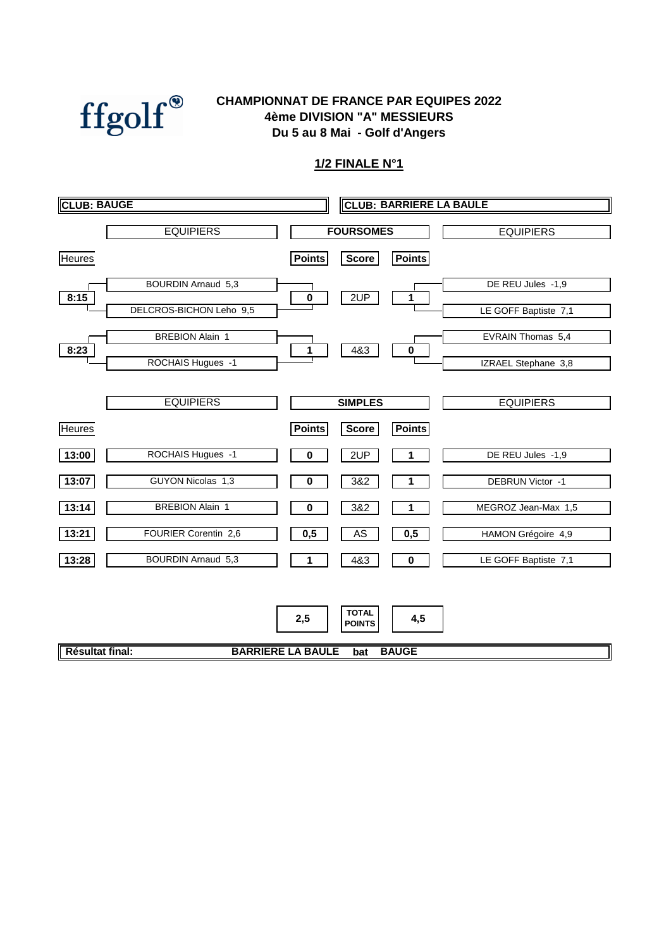

#### **Du 5 au 8 Mai - Golf d'Angers CHAMPIONNAT DE FRANCE PAR EQUIPES 2022 4ème DIVISION "A" MESSIEURS**

|                 | <b>EQUIPIERS</b>                                     |                                 | <b>FOURSOMES</b>                     |                     | <b>EQUIPIERS</b>                          |
|-----------------|------------------------------------------------------|---------------------------------|--------------------------------------|---------------------|-------------------------------------------|
| <b>Heures</b>   |                                                      | <b>Points</b>                   | <b>Score</b>                         | <b>Points</b>       |                                           |
| 8:15            | <b>BOURDIN Arnaud 5,3</b><br>DELCROS-BICHON Leho 9,5 | $\pmb{0}$                       | 2UP                                  | 1                   | DE REU Jules -1,9<br>LE GOFF Baptiste 7,1 |
| 8:23            | <b>BREBION Alain 1</b><br>ROCHAIS Hugues -1          | 1                               | 4&3                                  | 0                   | EVRAIN Thomas 5,4<br>IZRAEL Stephane 3,8  |
|                 | <b>EQUIPIERS</b>                                     |                                 | <b>SIMPLES</b>                       |                     | <b>EQUIPIERS</b>                          |
| <b>Heures</b>   |                                                      | <b>Points</b>                   | <b>Score</b>                         | <b>Points</b>       |                                           |
| 13:00           | ROCHAIS Hugues -1                                    | 0                               | 2UP                                  | 1                   | DE REU Jules -1,9                         |
| 13:07           | GUYON Nicolas 1,3                                    | 0                               | 3&2                                  | 1                   | DEBRUN Victor -1                          |
| 13:14           | <b>BREBION Alain 1</b>                               | $\bf{0}$                        | 3&2                                  | 1                   | MEGROZ Jean-Max 1,5                       |
| 13:21           | FOURIER Corentin 2,6                                 | 0,5                             | AS                                   | 0,5                 | HAMON Grégoire 4,9                        |
| 13:28           | <b>BOURDIN Arnaud 5,3</b>                            | 1                               | 4&3                                  | 0                   | LE GOFF Baptiste 7,1                      |
| Résultat final: |                                                      | 2,5<br><b>BARRIERE LA BAULE</b> | <b>TOTAL</b><br><b>POINTS</b><br>bat | 4,5<br><b>BAUGE</b> |                                           |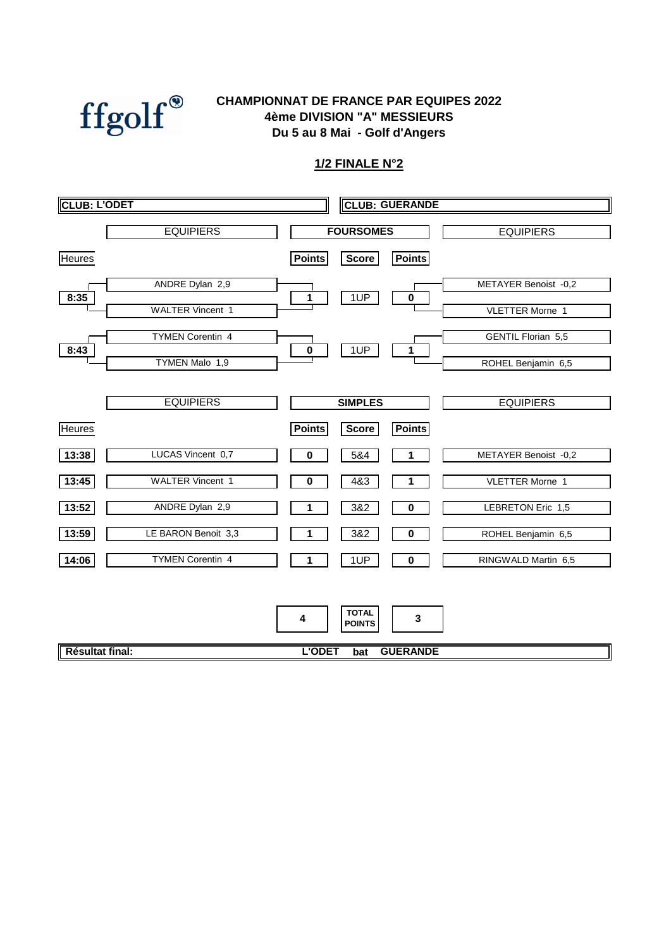

#### **4ème DIVISION "A" MESSIEURS Du 5 au 8 Mai - Golf d'Angers CHAMPIONNAT DE FRANCE PAR EQUIPES 2022**

| <b>CLUB: L'ODET</b>                               | <b>CLUB: GUERANDE</b>                             |                                                 |
|---------------------------------------------------|---------------------------------------------------|-------------------------------------------------|
| <b>EQUIPIERS</b>                                  | <b>FOURSOMES</b>                                  | <b>EQUIPIERS</b>                                |
| <b>Heures</b>                                     | <b>Points</b><br><b>Points</b><br><b>Score</b>    |                                                 |
| ANDRE Dylan 2,9<br>8:35                           | 1UP<br>1<br>$\pmb{0}$                             | METAYER Benoist -0,2                            |
| <b>WALTER Vincent 1</b>                           |                                                   | <b>VLETTER Morne 1</b>                          |
| <b>TYMEN Corentin 4</b><br>8:43<br>TYMEN Malo 1,9 | 1UP<br>$\pmb{0}$<br>1                             | <b>GENTIL Florian 5,5</b><br>ROHEL Benjamin 6,5 |
|                                                   |                                                   |                                                 |
| <b>EQUIPIERS</b>                                  | <b>SIMPLES</b>                                    | <b>EQUIPIERS</b>                                |
| <b>Heures</b>                                     | <b>Points</b><br><b>Points</b><br><b>Score</b>    |                                                 |
| LUCAS Vincent 0,7<br>13:38                        | 5&4<br>0<br>1                                     | METAYER Benoist -0,2                            |
| <b>WALTER Vincent 1</b><br>13:45                  | $\bf{0}$<br>4&3<br>1                              | <b>VLETTER Morne 1</b>                          |
| ANDRE Dylan 2,9<br>13:52                          | 3&2<br>0<br>1                                     | <b>LEBRETON Eric 1,5</b>                        |
| LE BARON Benoit 3,3<br>13:59                      | 3&2<br>0                                          | ROHEL Benjamin 6,5                              |
| <b>TYMEN Corentin 4</b><br>14:06                  | 1UP<br>0                                          | RINGWALD Martin 6,5                             |
|                                                   | <b>TOTAL</b><br>$\mathbf 3$<br>4<br><b>POINTS</b> |                                                 |
| Résultat final:                                   | <b>L'ODET</b><br><b>GUERANDE</b><br>bat           |                                                 |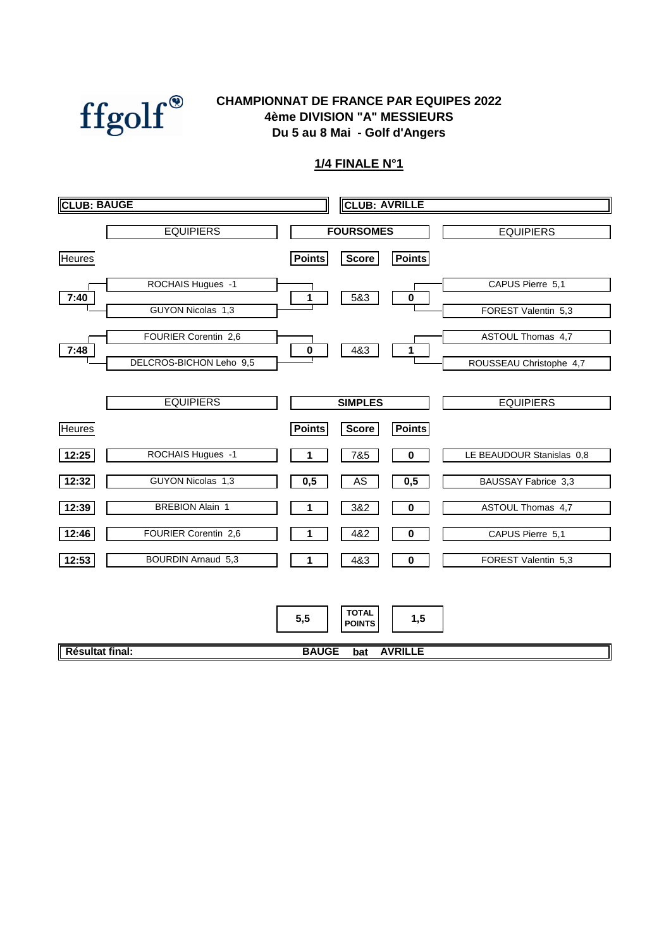

#### **4ème DIVISION "A" MESSIEURS Du 5 au 8 Mai - Golf d'Angers CHAMPIONNAT DE FRANCE PAR EQUIPES 2022**

| <b>CLUB: BAUGE</b>                 | <b>CLUB: AVRILLE</b>                           |                           |
|------------------------------------|------------------------------------------------|---------------------------|
| <b>EQUIPIERS</b>                   | <b>FOURSOMES</b>                               | <b>EQUIPIERS</b>          |
| <b>Heures</b>                      | <b>Points</b><br><b>Points</b><br><b>Score</b> |                           |
| ROCHAIS Hugues -1<br>7:40          | 5&3<br>$\pmb{0}$<br>1                          | CAPUS Pierre 5,1          |
| GUYON Nicolas 1,3                  |                                                | FOREST Valentin 5,3       |
| FOURIER Corentin 2,6<br>7:48       | 4&3<br>$\pmb{0}$<br>1                          | ASTOUL Thomas 4,7         |
| DELCROS-BICHON Leho 9,5            |                                                | ROUSSEAU Christophe 4,7   |
| <b>EQUIPIERS</b>                   | <b>SIMPLES</b>                                 | <b>EQUIPIERS</b>          |
| <b>Heures</b>                      | <b>Points</b><br><b>Points</b><br>Score        |                           |
| ROCHAIS Hugues -1<br>12:25         | 7&5<br>0                                       | LE BEAUDOUR Stanislas 0,8 |
| GUYON Nicolas 1,3<br>12:32         | 0,5<br>AS<br>0,5                               | BAUSSAY Fabrice 3,3       |
| <b>BREBION Alain 1</b><br>12:39    | 3&2<br>0<br>1                                  | ASTOUL Thomas 4,7         |
| FOURIER Corentin 2,6<br>12:46      | 4&2<br>$\pmb{0}$                               | CAPUS Pierre 5,1          |
| <b>BOURDIN Arnaud 5,3</b><br>12:53 | 4&3<br>$\mathbf 0$<br>1                        | FOREST Valentin 5,3       |
|                                    |                                                |                           |
|                                    | <b>TOTAL</b><br>5,5<br>1,5<br><b>POINTS</b>    |                           |
| Résultat final:                    | <b>BAUGE</b><br><b>AVRILLE</b><br>bat          |                           |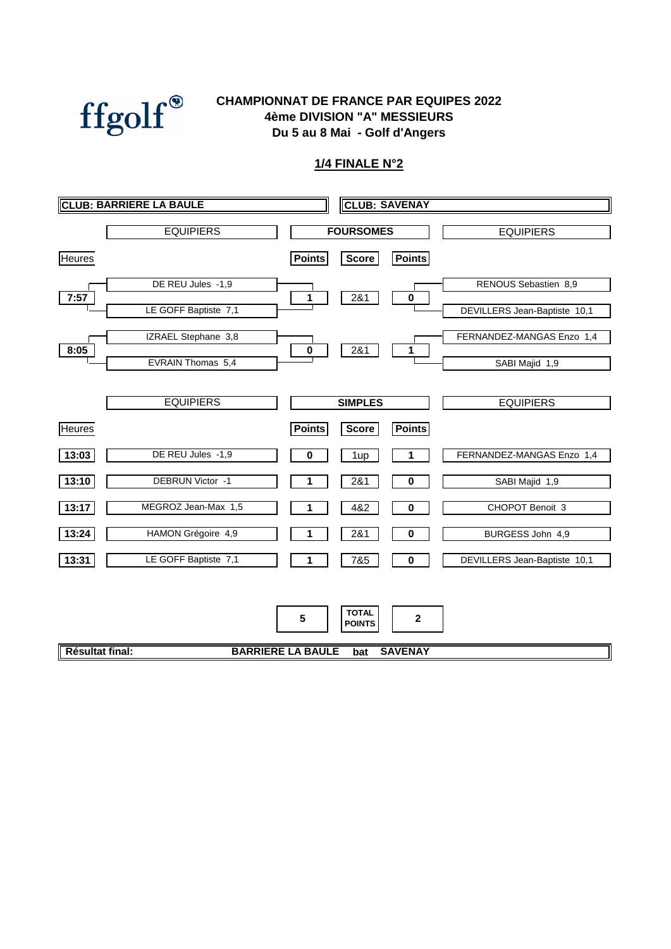

#### **CHAMPIONNAT DE FRANCE PAR EQUIPES 2022 4ème DIVISION "A" MESSIEURS Du 5 au 8 Mai - Golf d'Angers**

|                 | <b>CLUB: BARRIERE LA BAULE</b> |                          | <b>CLUB: SAVENAY</b>          |                |                              |
|-----------------|--------------------------------|--------------------------|-------------------------------|----------------|------------------------------|
|                 | <b>EQUIPIERS</b>               |                          | <b>FOURSOMES</b>              |                | <b>EQUIPIERS</b>             |
| <b>Heures</b>   |                                | <b>Points</b>            | <b>Score</b>                  | <b>Points</b>  |                              |
| 7:57            | DE REU Jules -1,9              | 1                        | 281                           | $\pmb{0}$      | RENOUS Sebastien 8,9         |
|                 | LE GOFF Baptiste 7,1           |                          |                               |                | DEVILLERS Jean-Baptiste 10,1 |
| 8:05            | IZRAEL Stephane 3,8            | $\pmb{0}$                | 281                           | 1              | FERNANDEZ-MANGAS Enzo 1,4    |
|                 | EVRAIN Thomas 5,4              |                          |                               |                | SABI Majid 1,9               |
|                 | <b>EQUIPIERS</b>               |                          | <b>SIMPLES</b>                |                | <b>EQUIPIERS</b>             |
| <b>Heures</b>   |                                | <b>Points</b>            | <b>Score</b>                  | <b>Points</b>  |                              |
| 13:03           | DE REU Jules - 1,9             | 0                        | 1up                           |                | FERNANDEZ-MANGAS Enzo 1,4    |
| 13:10           | DEBRUN Victor -1               |                          | 2&1                           | 0              | SABI Majid 1,9               |
| 13:17           | MEGROZ Jean-Max 1,5            | 1                        | 4&2                           | 0              | CHOPOT Benoit 3              |
| 13:24           | HAMON Grégoire 4,9             |                          | 2&1                           | 0              | BURGESS John 4,9             |
| 13:31           | LE GOFF Baptiste 7,1           | 1                        | 7&5                           | 0              | DEVILLERS Jean-Baptiste 10,1 |
|                 |                                |                          |                               |                |                              |
|                 |                                | 5                        | <b>TOTAL</b><br><b>POINTS</b> | $\mathbf{2}$   |                              |
| Résultat final: |                                | <b>BARRIERE LA BAULE</b> | bat                           | <b>SAVENAY</b> |                              |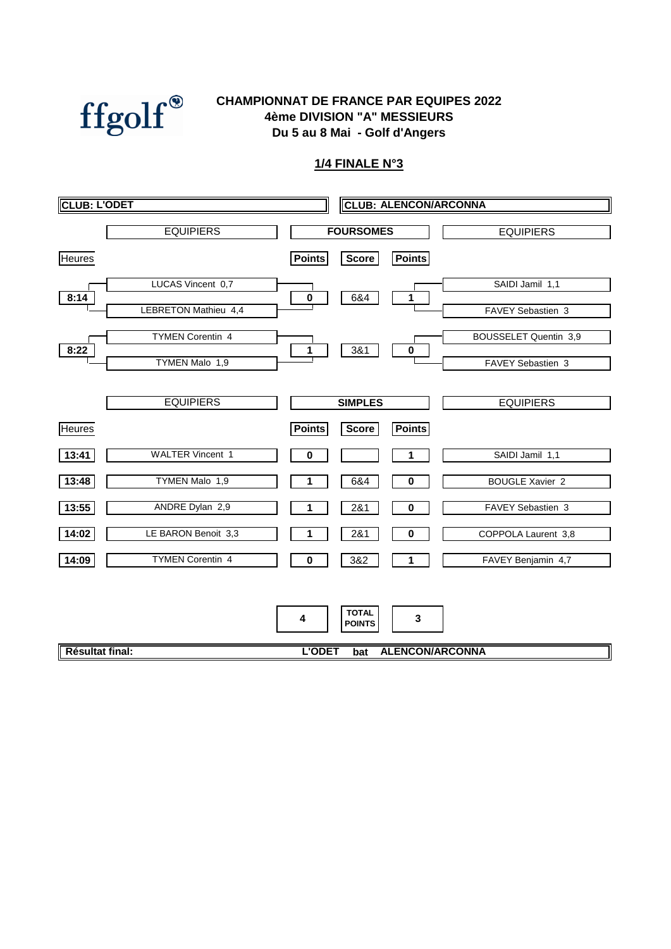

#### **Du 5 au 8 Mai - Golf d'Angers CHAMPIONNAT DE FRANCE PAR EQUIPES 2022 4ème DIVISION "A" MESSIEURS**

| <b>CLUB: L'ODET</b>              | <b>CLUB: ALENCON/ARCONNA</b>                   |                        |
|----------------------------------|------------------------------------------------|------------------------|
| <b>EQUIPIERS</b>                 | <b>FOURSOMES</b>                               | <b>EQUIPIERS</b>       |
| <b>Heures</b>                    | <b>Points</b><br><b>Points</b><br><b>Score</b> |                        |
| LUCAS Vincent 0,7<br>8:14        | 6&4<br>$\pmb{0}$<br>1                          | SAIDI Jamil 1,1        |
| <b>LEBRETON Mathieu 4,4</b>      |                                                | FAVEY Sebastien 3      |
| <b>TYMEN Corentin 4</b><br>8:22  | 3&1<br>1<br>$\bf{0}$                           | BOUSSELET Quentin 3,9  |
| TYMEN Malo 1,9                   |                                                | FAVEY Sebastien 3      |
| <b>EQUIPIERS</b>                 | <b>SIMPLES</b>                                 | <b>EQUIPIERS</b>       |
| <b>Heures</b>                    | <b>Points</b><br><b>Points</b><br><b>Score</b> |                        |
| <b>WALTER Vincent 1</b><br>13:41 | 0<br>1                                         | SAIDI Jamil 1,1        |
| TYMEN Malo 1,9<br>13:48          | 6&4<br>$\bf{0}$                                | <b>BOUGLE Xavier 2</b> |
| ANDRE Dylan 2,9<br>13:55         | 2&1<br>0                                       | FAVEY Sebastien 3      |
| LE BARON Benoit 3,3<br>14:02     | 2&1<br>$\mathbf 0$<br>1                        | COPPOLA Laurent 3,8    |
| <b>TYMEN Corentin 4</b><br>14:09 | 3&2<br>0<br>1                                  | FAVEY Benjamin 4,7     |
|                                  |                                                |                        |
|                                  | <b>TOTAL</b><br>3<br>4<br><b>POINTS</b>        |                        |
| Résultat final:                  | <b>ALENCON/ARCONNA</b><br><b>L'ODET</b><br>bat |                        |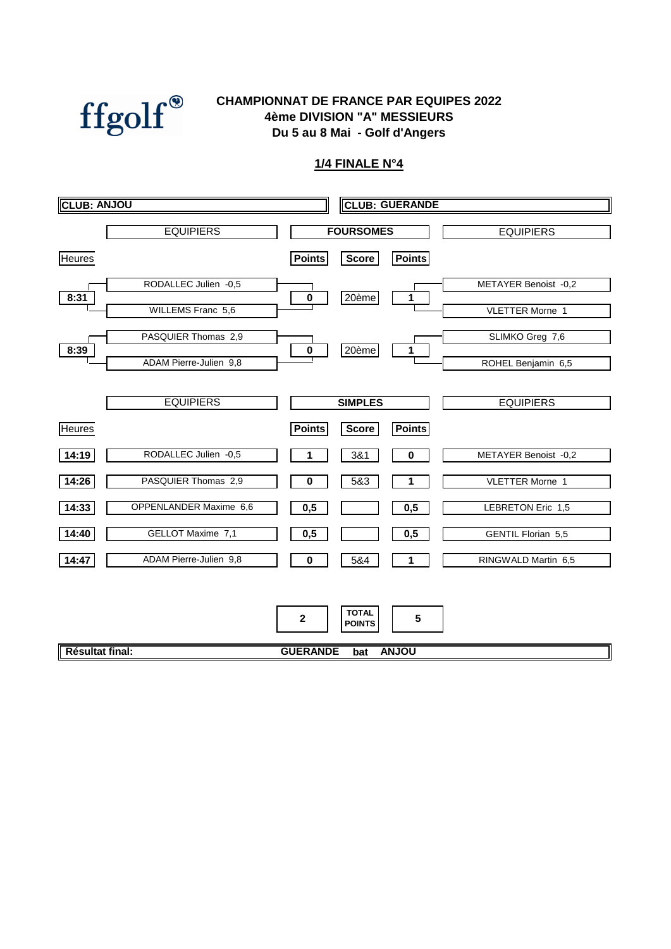

#### **CHAMPIONNAT DE FRANCE PAR EQUIPES 2022 4ème DIVISION "A" MESSIEURS Du 5 au 8 Mai - Golf d'Angers**

| <b>CLUB: ANJOU</b> |                        | <b>CLUB: GUERANDE</b>                              |  |
|--------------------|------------------------|----------------------------------------------------|--|
|                    | <b>EQUIPIERS</b>       | <b>FOURSOMES</b><br><b>EQUIPIERS</b>               |  |
| <b>Heures</b>      |                        | <b>Points</b><br><b>Score</b><br><b>Points</b>     |  |
| 8:31               | RODALLEC Julien -0,5   | METAYER Benoist -0,2<br>20ème<br>$\pmb{0}$<br>1    |  |
|                    | WILLEMS Franc 5,6      | <b>VLETTER Morne 1</b>                             |  |
| 8:39               | PASQUIER Thomas 2,9    | SLIMKO Greg 7,6<br>20ème<br>$\pmb{0}$<br>1         |  |
|                    | ADAM Pierre-Julien 9,8 | ROHEL Benjamin 6,5                                 |  |
|                    | <b>EQUIPIERS</b>       | <b>SIMPLES</b><br><b>EQUIPIERS</b>                 |  |
| <b>Heures</b>      |                        | <b>Points</b><br><b>Points</b><br><b>Score</b>     |  |
| 14:19              | RODALLEC Julien -0,5   | 3&1<br>METAYER Benoist -0,2<br>0                   |  |
| 14:26              | PASQUIER Thomas 2,9    | 5&3<br>0<br><b>VLETTER Morne 1</b><br>1            |  |
| 14:33              | OPPENLANDER Maxime 6,6 | 0,5<br>0,5<br>LEBRETON Eric 1,5                    |  |
| 14:40              | GELLOT Maxime 7,1      | 0,5<br>0,5<br><b>GENTIL Florian 5,5</b>            |  |
| 14:47              | ADAM Pierre-Julien 9,8 | 5&4<br>RINGWALD Martin 6,5<br>$\bf{0}$<br>1        |  |
|                    |                        |                                                    |  |
|                    |                        | <b>TOTAL</b><br>$\mathbf{2}$<br>5<br><b>POINTS</b> |  |
| Résultat final:    |                        | <b>GUERANDE</b><br><b>ANJOU</b><br>bat             |  |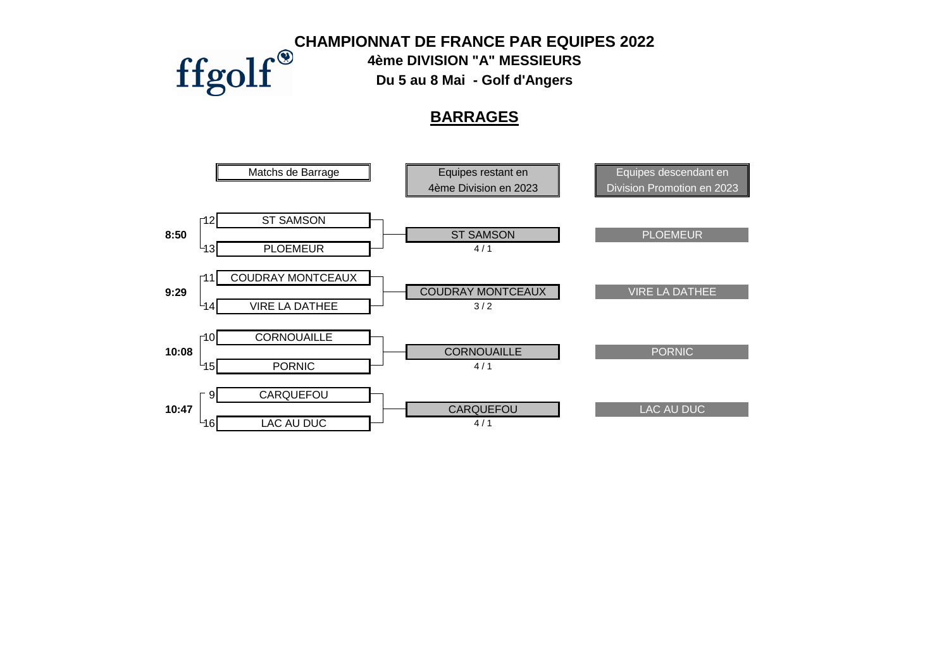**CHAMPIONNAT DE FRANCE PAR EQUIPES 2022<br>
FIGOIF** The DIVISION "A" MESSIEURS<br>
Du 5 au 8 Mai - Golf d'Angers

**4ème DIVISION "A" MESSIEURS**

**Du 5 au 8 Mai - Golf d'Angers**

### **BARRAGES**

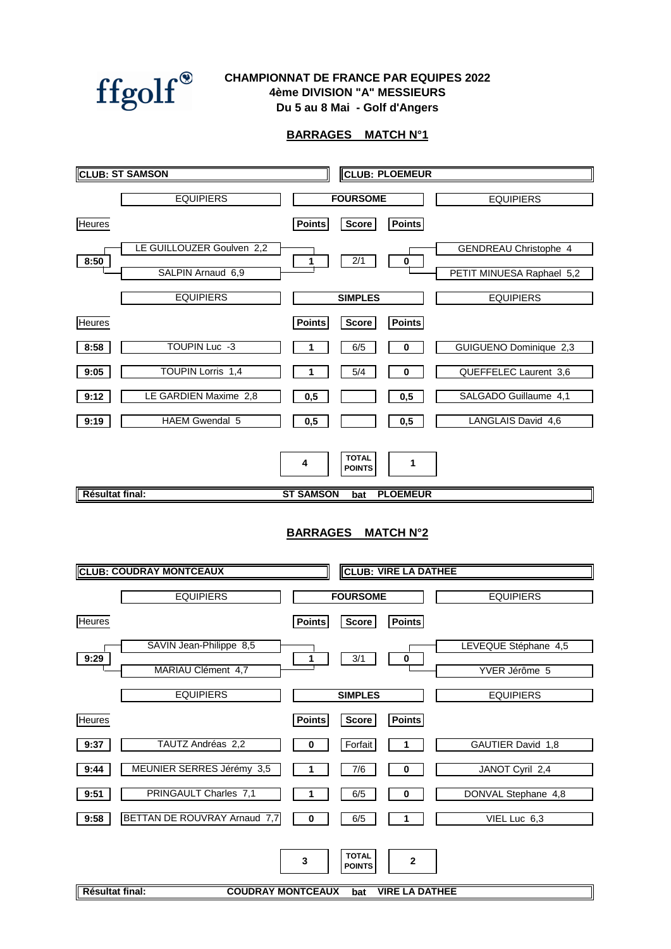

#### **CHAMPIONNAT DE FRANCE PAR EQUIPES 2022 4ème DIVISION "A" MESSIEURS Du 5 au 8 Mai - Golf d'Angers**

#### **BARRAGES MATCH N°1**

|                 | <b>CLUB: ST SAMSON</b>         |                           |                               | <b>CLUB: PLOEMEUR</b>       |                              |
|-----------------|--------------------------------|---------------------------|-------------------------------|-----------------------------|------------------------------|
|                 | <b>EQUIPIERS</b>               |                           | <b>FOURSOME</b>               |                             | <b>EQUIPIERS</b>             |
| <b>Heures</b>   |                                | <b>Points</b>             | <b>Score</b>                  | <b>Points</b>               |                              |
|                 | LE GUILLOUZER Goulven 2,2      |                           |                               |                             | <b>GENDREAU Christophe 4</b> |
| 8:50            | SALPIN Arnaud 6,9              | 1                         | 2/1                           | $\bf{0}$                    | PETIT MINUESA Raphael 5,2    |
|                 | <b>EQUIPIERS</b>               |                           | <b>SIMPLES</b>                |                             | <b>EQUIPIERS</b>             |
| <b>Heures</b>   |                                | <b>Points</b>             | <b>Score</b>                  | <b>Points</b>               |                              |
| 8:58            | TOUPIN Luc -3                  | 1                         | 6/5                           | 0                           | GUIGUENO Dominique 2,3       |
| 9:05            | <b>TOUPIN Lorris 1,4</b>       |                           | 5/4                           | 0                           | QUEFFELEC Laurent 3,6        |
| 9:12            | LE GARDIEN Maxime 2,8          | 0,5                       |                               | 0,5                         | SALGADO Guillaume 4,1        |
| 9:19            | <b>HAEM Gwendal 5</b>          | 0,5                       |                               | 0,5                         | LANGLAIS David 4,6           |
|                 |                                | 4                         | <b>TOTAL</b><br><b>POINTS</b> | 1                           |                              |
| Résultat final: |                                | <b>ST SAMSON</b>          | bat                           | <b>PLOEMEUR</b>             |                              |
|                 | <b>CLUB: COUDRAY MONTCEAUX</b> | <b>BARRAGES MATCH N°2</b> |                               | <b>CLUB: VIRE LA DATHEE</b> |                              |
|                 | <b>EQUIPIERS</b>               |                           | <b>FOURSOME</b>               |                             | <b>EQUIPIERS</b>             |
| <b>Heures</b>   |                                | <b>Points</b>             | <b>Score</b>                  | <b>Points</b>               |                              |
| 9:29            | SAVIN Jean-Philippe 8,5        | 1                         | 3/1                           | $\pmb{0}$                   | LEVEQUE Stéphane 4,5         |
|                 | MARIAU Clément 4,7             |                           |                               |                             | YVER Jérôme 5                |
|                 | <b>EQUIPIERS</b>               |                           | <b>SIMPLES</b>                |                             | <b>EQUIPIERS</b>             |
| <b>Heures</b>   |                                | <b>Points</b>             | <b>Score</b>                  | <b>Points</b>               |                              |
| 9:37            | TAUTZ Andréas 2,2              | 0                         | Forfait                       | 1                           | GAUTIER David 1,8            |
| 9:44            | MEUNIER SERRES Jérémy 3,5      | 1                         | 7/6                           | $\bf{0}$                    | JANOT Cyril 2,4              |
| 9:51            | PRINGAULT Charles 7,1          | 1                         | 6/5                           | 0                           | DONVAL Stephane 4,8          |
| 9:58            | BETTAN DE ROUVRAY Arnaud 7,7   | $\bf{0}$                  | 6/5                           | 1                           | VIEL Luc 6,3                 |
|                 |                                | 3                         | <b>TOTAL</b><br><b>POINTS</b> | 2                           |                              |
| Résultat final: | <b>COUDRAY MONTCEAUX</b>       |                           | bat                           | <b>VIRE LA DATHEE</b>       |                              |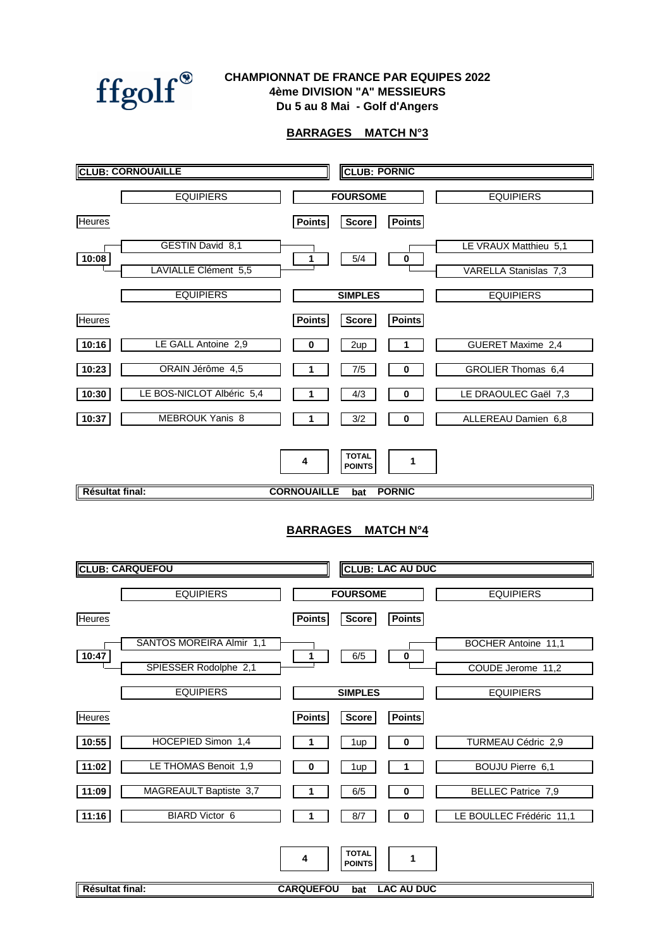

#### **Du 5 au 8 Mai - Golf d'Angers CHAMPIONNAT DE FRANCE PAR EQUIPES 2022 4ème DIVISION "A" MESSIEURS**

#### **BARRAGES MATCH N°3**

|                           | <b>CLUB: CORNOUAILLE</b>  |                       | <b>CLUB: PORNIC</b>                  |                         |                           |  |
|---------------------------|---------------------------|-----------------------|--------------------------------------|-------------------------|---------------------------|--|
|                           | <b>EQUIPIERS</b>          |                       | <b>FOURSOME</b>                      |                         | <b>EQUIPIERS</b>          |  |
| Heures                    |                           | <b>Points</b>         | <b>Score</b>                         | <b>Points</b>           |                           |  |
|                           | GESTIN David 8,1          |                       |                                      |                         | LE VRAUX Matthieu 5,1     |  |
| 10:08                     | LAVIALLE Clément 5,5      | 1                     | 5/4                                  | $\bf{0}$                | VARELLA Stanislas 7,3     |  |
|                           | <b>EQUIPIERS</b>          |                       | <b>SIMPLES</b>                       |                         | <b>EQUIPIERS</b>          |  |
| <b>Heures</b>             |                           | <b>Points</b>         | <b>Score</b>                         | <b>Points</b>           |                           |  |
| 10:16                     | LE GALL Antoine 2,9       | 0                     | 2up                                  | 1                       | GUERET Maxime 2,4         |  |
| 10:23                     | ORAIN Jérôme 4,5          | 1                     | 7/5                                  | $\bf{0}$                | GROLIER Thomas 6,4        |  |
| 10:30                     | LE BOS-NICLOT Albéric 5,4 | 1                     | 4/3                                  | $\bf{0}$                | LE DRAOULEC Gaël 7,3      |  |
| 10:37                     | <b>MEBROUK Yanis 8</b>    | 1                     | 3/2                                  | $\bf{0}$                | ALLEREAU Damien 6,8       |  |
|                           |                           | 4                     | <b>TOTAL</b><br><b>POINTS</b>        | 1                       |                           |  |
| Résultat final:           |                           | <b>CORNOUAILLE</b>    | bat                                  | <b>PORNIC</b>           |                           |  |
| <b>BARRAGES MATCH N°4</b> |                           |                       |                                      |                         |                           |  |
|                           | <b>CLUB: CARQUEFOU</b>    |                       |                                      | <b>CLUB: LAC AU DUC</b> |                           |  |
|                           | <b>EQUIPIERS</b>          |                       | <b>FOURSOME</b>                      |                         | <b>EQUIPIERS</b>          |  |
| <b>Heures</b>             |                           | <b>Points</b>         | <b>Score</b>                         | <b>Points</b>           |                           |  |
|                           | SANTOS MOREIRA Almir 1,1  |                       |                                      |                         | BOCHER Antoine 11,1       |  |
| 10:47                     | SPIESSER Rodolphe 2,1     | 1                     | 6/5                                  | 0                       | COUDE Jerome 11,2         |  |
|                           | <b>EQUIPIERS</b>          |                       | <b>SIMPLES</b>                       |                         | <b>EQUIPIERS</b>          |  |
| <b>Heures</b>             |                           | <b>Points</b>         | <b>Score</b>                         | <b>Points</b>           |                           |  |
| 10:55                     | HOCEPIED Simon 1,4        | 1                     | 1up                                  | 0                       | TURMEAU Cédric 2,9        |  |
| 11:02                     | LE THOMAS Benoit 1,9      | 0                     | 1up                                  | 1                       | BOUJU Pierre 6,1          |  |
| 11:09                     | MAGREAULT Baptiste 3,7    | 1                     | 6/5                                  | 0                       | <b>BELLEC Patrice 7,9</b> |  |
| 11:16                     | <b>BIARD Victor 6</b>     | 1                     | 8/7                                  | 0                       | LE BOULLEC Frédéric 11,1  |  |
| Résultat final:           |                           | 4<br><b>CARQUEFOU</b> | <b>TOTAL</b><br><b>POINTS</b><br>bat | 1<br><b>LAC AU DUC</b>  |                           |  |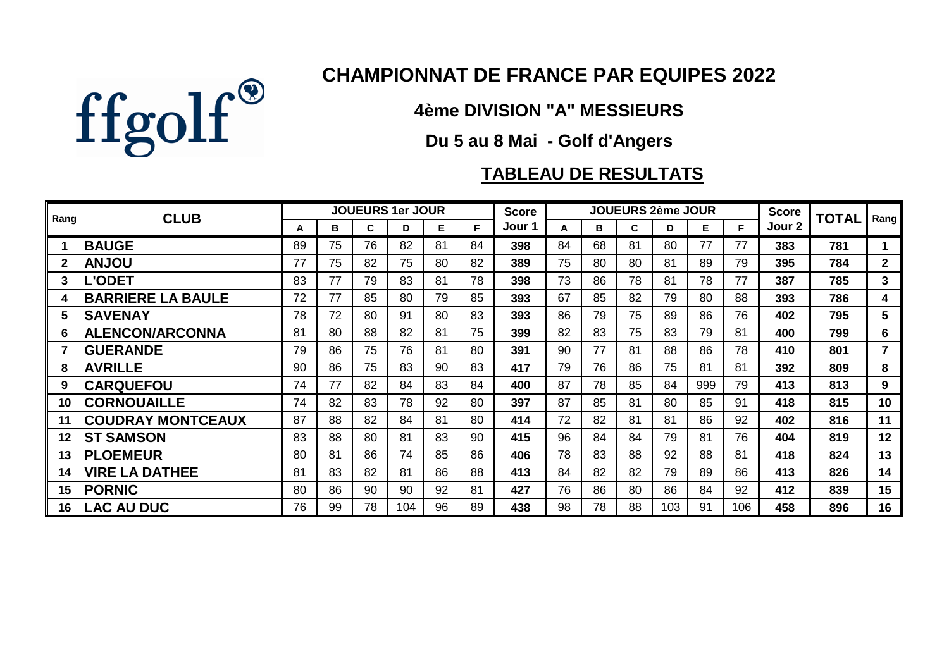

# **CHAMPIONNAT DE FRANCE PAR EQUIPES 2022**

**4ème DIVISION "A" MESSIEURS**

## **Du 5 au 8 Mai - Golf d'Angers**

# **TABLEAU DE RESULTATS**

| Rang | <b>CLUB</b>              |    |    |    | <b>JOUEURS 1er JOUR</b> |    |    | <b>Score</b> |    |    | <b>JOUEURS 2ème JOUR</b> |     |     |     | <b>Score</b> | <b>TOTAL</b> | Rang            |
|------|--------------------------|----|----|----|-------------------------|----|----|--------------|----|----|--------------------------|-----|-----|-----|--------------|--------------|-----------------|
|      |                          | А  | в  | C  | D                       | Е  | F. | Jour 1       | А  | в  | C                        | D   | Е.  | F.  | Jour 2       |              |                 |
|      | <b>BAUGE</b>             | 89 | 75 | 76 | 82                      | 81 | 84 | 398          | 84 | 68 | 81                       | 80  | 77  | 77  | 383          | 781          |                 |
|      | <b>UOLIAA</b>            | 77 | 75 | 82 | 75                      | 80 | 82 | 389          | 75 | 80 | 80                       | 81  | 89  | 79  | 395          | 784          | $\mathbf{2}$    |
| 3    | <b>L'ODET</b>            | 83 | 77 | 79 | 83                      | 81 | 78 | 398          | 73 | 86 | 78                       | 81  | 78  | 77  | 387          | 785          | $\mathbf{3}$    |
| 4    | <b>BARRIERE LA BAULE</b> | 72 | 77 | 85 | 80                      | 79 | 85 | 393          | 67 | 85 | 82                       | 79  | 80  | 88  | 393          | 786          | 4               |
| 5    | <b>SAVENAY</b>           | 78 | 72 | 80 | 91                      | 80 | 83 | 393          | 86 | 79 | 75                       | 89  | 86  | 76  | 402          | 795          | $5\phantom{.0}$ |
| 6    | <b>ALENCON/ARCONNA</b>   | 81 | 80 | 88 | 82                      | 81 | 75 | 399          | 82 | 83 | 75                       | 83  | 79  | 81  | 400          | 799          | 6               |
|      | <b>GUERANDE</b>          | 79 | 86 | 75 | 76                      | 81 | 80 | 391          | 90 | 77 | 81                       | 88  | 86  | 78  | 410          | 801          | $\overline{7}$  |
| 8    | <b>AVRILLE</b>           | 90 | 86 | 75 | 83                      | 90 | 83 | 417          | 79 | 76 | 86                       | 75  | 81  | 81  | 392          | 809          | 8               |
| 9    | <b>CARQUEFOU</b>         | 74 | 77 | 82 | 84                      | 83 | 84 | 400          | 87 | 78 | 85                       | 84  | 999 | 79  | 413          | 813          | 9               |
| 10   | <b>CORNOUAILLE</b>       | 74 | 82 | 83 | 78                      | 92 | 80 | 397          | 87 | 85 | 81                       | 80  | 85  | 91  | 418          | 815          | 10              |
| 11   | <b>COUDRAY MONTCEAUX</b> | 87 | 88 | 82 | 84                      | 81 | 80 | 414          | 72 | 82 | 81                       | 81  | 86  | 92  | 402          | 816          | 11              |
| 12   | <b>ST SAMSON</b>         | 83 | 88 | 80 | 81                      | 83 | 90 | 415          | 96 | 84 | 84                       | 79  | 81  | 76  | 404          | 819          | 12              |
| 13   | <b>PLOEMEUR</b>          | 80 | 81 | 86 | 74                      | 85 | 86 | 406          | 78 | 83 | 88                       | 92  | 88  | 81  | 418          | 824          | 13              |
| 14   | <b>VIRE LA DATHEE</b>    | 81 | 83 | 82 | 81                      | 86 | 88 | 413          | 84 | 82 | 82                       | 79  | 89  | 86  | 413          | 826          | 14              |
| 15   | <b>PORNIC</b>            | 80 | 86 | 90 | 90                      | 92 | 81 | 427          | 76 | 86 | 80                       | 86  | 84  | 92  | 412          | 839          | 15              |
| 16   | <b>LAC AU DUC</b>        | 76 | 99 | 78 | 104                     | 96 | 89 | 438          | 98 | 78 | 88                       | 103 | 91  | 106 | 458          | 896          | 16              |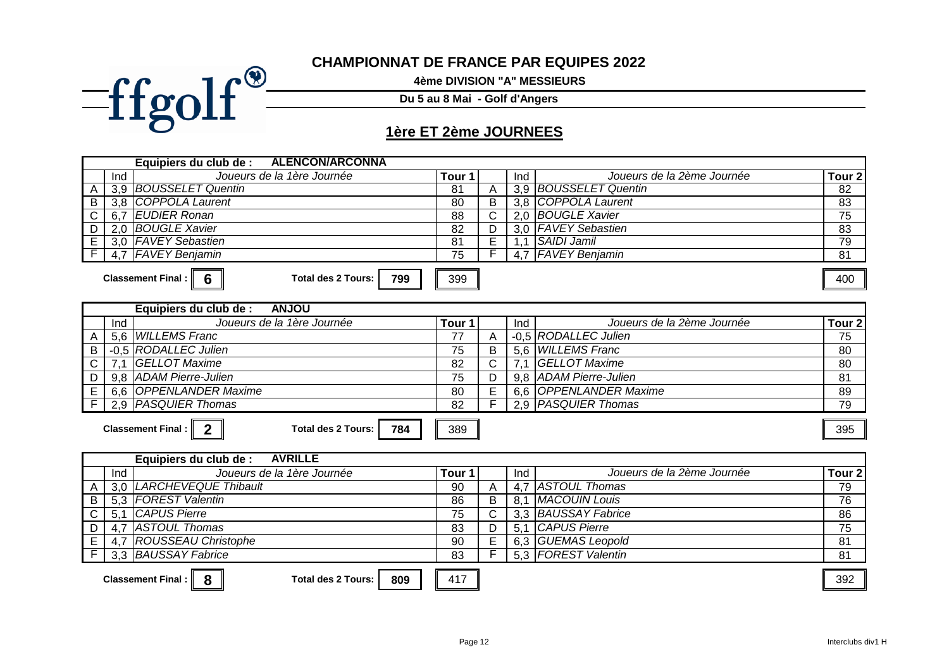#### **CHAMPIONNAT DE FRANCE PAR EQUIPES 2022**

**4ème DIVISION "A" MESSIEURS**

**Du 5 au 8 Mai - Golf d'Angers**

# **1ère ET 2ème JOURNEES**

 $=$ ffgolf®

|              |     | <b>ALENCON/ARCONNA</b><br>Equipiers du club de :        |      |   |     |                            |        |
|--------------|-----|---------------------------------------------------------|------|---|-----|----------------------------|--------|
|              | Ind | Joueurs de la 1ère Journée                              | Tour |   | Ind | Joueurs de la 2ème Journée | Tour 2 |
| $\mathsf{A}$ |     | 3,9 BOUSSELET Quentin                                   | 81   |   |     | 3.9 BOUSSELET Quentin      | 82     |
| B            |     | 3,8 COPPOLA Laurent                                     | 80   | в |     | 3.8 COPPOLA Laurent        | 83     |
| $\mathsf{C}$ | 6.7 | <b>EUDIER Ronan</b>                                     | 88   |   |     | 2.0 BOUGLE Xavier          | 75     |
| D            |     | 2.0 BOUGLE Xavier                                       | 82   |   |     | 3.0   FAVEY Sebastien      | 83     |
| E.           |     | 3.0   FAVEY Sebastien                                   | 81   |   |     | <b>SAIDI Jamil</b>         | 79     |
|              |     | 4.7 FAVEY Benjamin                                      | 75   |   | 4   | <b>FAVEY Benjamin</b>      | 81     |
|              |     |                                                         |      |   |     |                            |        |
|              |     | 799<br><b>Classement Final: I</b><br>Total des 2 Tours: | 399  |   |     |                            | 400    |

|   |     | Equipiers du club de :<br><b>UOLNA</b>                |                   |   |     |                            |                   |
|---|-----|-------------------------------------------------------|-------------------|---|-----|----------------------------|-------------------|
|   | Ind | Joueurs de la 1ère Journée                            | Tour <sub>1</sub> |   | Ind | Joueurs de la 2ème Journée | Tour <sub>2</sub> |
|   |     | 5,6 WILLEMS Franc                                     |                   |   |     | -0.5 RODALLEC Julien       | 75                |
| B |     | -0.5 RODALLEC Julien                                  | 75                | B |     | 5.6 WILLEMS Franc          | 80                |
| C |     | GELLOT Maxime                                         | 82                |   |     | GELLOT Maxime              | 80                |
| D |     | 9.8 ADAM Pierre-Julien                                | 75                | D |     | 9,8 ADAM Pierre-Julien     | 81                |
| E |     | 6,6 OPPENLANDER Maxime                                | 80                | Е |     | 6,6 OPPENLANDER Maxime     | 89                |
|   |     | 2.9 <i>PASQUIER Thomas</i>                            | 82                |   |     | 2.9   PASQUIER Thomas      | 79                |
|   |     |                                                       |                   |   |     |                            |                   |
|   |     | 784<br><b>Classement Final:</b><br>Total des 2 Tours: | 389               |   |     |                            | 395               |

|   |     | <b>AVRILLE</b><br>Equipiers du club de :                           |                   |   |     |                            |                   |  |  |
|---|-----|--------------------------------------------------------------------|-------------------|---|-----|----------------------------|-------------------|--|--|
|   | Ind | Joueurs de la 1ère Journée                                         | Tour <sub>1</sub> |   | Ind | Joueurs de la 2ème Journée | Tour <sub>2</sub> |  |  |
| A |     | 3,0   LARCHEVEQUE Thibault                                         | 90                | А | 4,7 | ASTOUL Thomas              | 79                |  |  |
| B |     | 5,3   FOREST Valentin                                              | 86                | B | 8.1 | <b>MACOUIN Louis</b>       | 76                |  |  |
|   |     | 5,1 CAPUS Pierre                                                   | 75                |   |     | 3,3 BAUSSAY Fabrice        | 86                |  |  |
| D | 4.7 | 7   ASTOUL Thomas                                                  | 83                |   | 5.1 | CAPUS Pierre               | 75                |  |  |
| E | 4,7 | <b>ROUSSEAU Christophe</b>                                         | 90                | E |     | 6,3 GUEMAS Leopold         | 81                |  |  |
|   |     | 3.3 BAUSSAY Fabrice                                                | 83                |   |     | 5.3   FOREST Valentin      | 81                |  |  |
|   |     |                                                                    |                   |   |     |                            |                   |  |  |
|   |     | 8<br>809<br><b>Classement Final :</b><br><b>Total des 2 Tours:</b> | 417               |   |     |                            | 392               |  |  |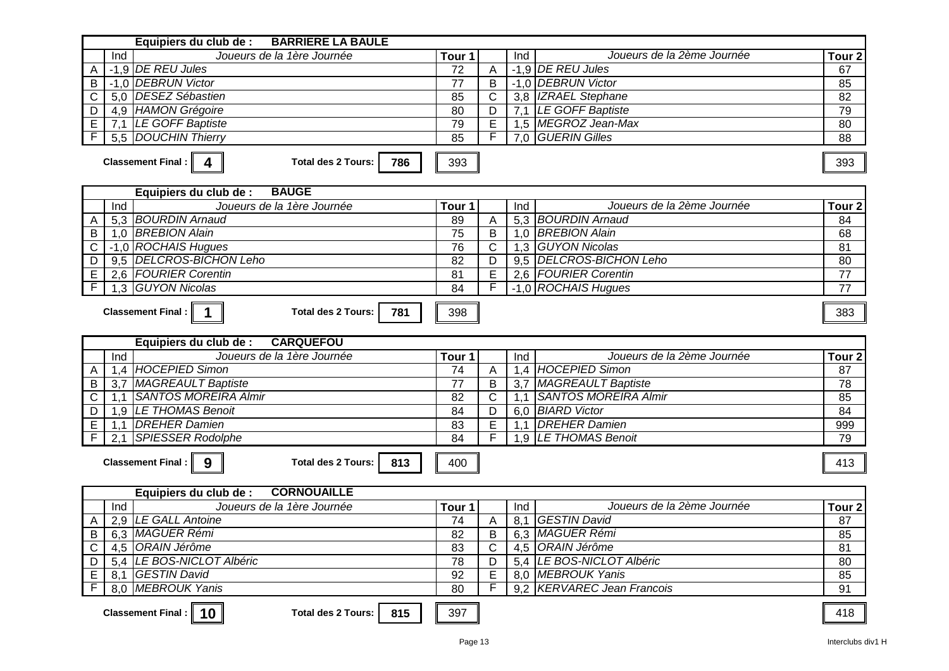| <b>BARRIERE LA BAULE</b><br>Equipiers du club de :                                                       |          |                     |     |                             |                   |  |  |
|----------------------------------------------------------------------------------------------------------|----------|---------------------|-----|-----------------------------|-------------------|--|--|
| Joueurs de la 1ère Journée<br>Ind                                                                        | Tour 1   |                     | Ind | Joueurs de la 2ème Journée  | Tour <sub>2</sub> |  |  |
| -1,9 DE REU Jules<br>A                                                                                   | 72       | A                   |     | -1,9 DE REU Jules           | 67                |  |  |
| -1,0 DEBRUN Victor<br>B                                                                                  | 77       | B                   |     | -1,0 DEBRUN Victor          | 85                |  |  |
| 5.0 DESEZ Sébastien<br>С                                                                                 | 85       | C                   |     | 3,8 IZRAEL Stephane         | 82                |  |  |
| 4,9 HAMON Grégoire                                                                                       | 80       |                     |     | 7,1 LE GOFF Baptiste        | 79                |  |  |
| D<br>7,1 LE GOFF Baptiste                                                                                |          | D<br>E              |     | 1,5 MEGROZ Jean-Max         | 80                |  |  |
| $\mathsf E$<br>5,5 DOUCHIN Thierry<br>F                                                                  | 79<br>85 | F                   | 7.0 | <b>GUERIN Gilles</b>        | 88                |  |  |
| Classement Final: $\ $<br><b>Total des 2 Tours:</b><br>$\overline{\mathbf{4}}$<br>786<br>393<br>393      |          |                     |     |                             |                   |  |  |
| <b>BAUGE</b><br>Equipiers du club de :                                                                   |          |                     |     |                             |                   |  |  |
| Joueurs de la 1ère Journée<br>Ind                                                                        | Tour 1   |                     | Ind | Joueurs de la 2ème Journée  | Tour <sub>2</sub> |  |  |
| 5,3 BOURDIN Arnaud<br>A                                                                                  | 89       | A                   |     | 5,3 BOURDIN Arnaud          | 84                |  |  |
| 1,0 BREBION Alain<br>B                                                                                   | 75       | B                   | 1,0 | <b>BREBION Alain</b>        | 68                |  |  |
| -1.0 ROCHAIS Hugues<br>C                                                                                 | 76       | $\mathsf{C}$        | 1,3 | <b>GUYON Nicolas</b>        | 81                |  |  |
| <b>DELCROS-BICHON Leho</b><br>D<br>9,5                                                                   | 82       | D                   | 9,5 | <b>DELCROS-BICHON Leho</b>  | 80                |  |  |
| 2,6 FOURIER Corentin<br>E                                                                                | 81       | E                   |     | 2.6 FOURIER Corentin        | 77                |  |  |
| $\overline{F}$<br><b>GUYON Nicolas</b><br>1,3                                                            | 84       | F                   |     | -1,0 ROCHAIS Hugues         | 77                |  |  |
| Classement Final :   1<br><b>Total des 2 Tours:</b><br>781<br><b>CARQUEFOU</b><br>Equipiers du club de : | 398      |                     |     |                             | 383               |  |  |
|                                                                                                          |          |                     |     |                             |                   |  |  |
|                                                                                                          |          |                     |     |                             |                   |  |  |
| Joueurs de la 1ère Journée<br>Ind                                                                        | Tour 1   |                     | Ind | Joueurs de la 2ème Journée  | Tour <sub>2</sub> |  |  |
| <b>HOCEPIED Simon</b><br>1,4<br>A                                                                        | 74       | A                   | 1,4 | HOCEPIED Simon              | 87                |  |  |
| 3,7 MAGREAULT Baptiste<br>B                                                                              | 77       | B                   | 3,7 | MAGREAULT Baptiste          | 78                |  |  |
| <b>SANTOS MOREIRA Almir</b><br>$\mathsf{C}$<br>1.1                                                       | 82       | C                   | 1,1 | <b>SANTOS MOREIRA Almir</b> | 85                |  |  |
| 1,9 LE THOMAS Benoit<br>D                                                                                | 84       | D                   |     | 6.0 BIARD Victor            | 84                |  |  |
| <b>DREHER Damien</b><br>E<br>1,1                                                                         | 83       | E                   | 1,1 | <b>DREHER Damien</b>        | 999               |  |  |
| $\overline{F}$<br><b>SPIESSER Rodolphe</b><br>2,1                                                        | 84       | F                   |     | 1.9 LE THOMAS Benoit        | 79                |  |  |
| Classement Final :  <br>9<br><b>Total des 2 Tours:</b><br>813                                            | 400      |                     |     |                             | 413               |  |  |
| <b>CORNOUAILLE</b>                                                                                       |          |                     |     |                             |                   |  |  |
| Equipiers du club de :<br>Joueurs de la 1ère Journée                                                     |          |                     |     | Joueurs de la 2ème Journée  |                   |  |  |
| Ind                                                                                                      | Tour 1   |                     | Ind |                             | Tour <sub>2</sub> |  |  |
| 2,9 LE GALL Antoine<br>$\mathsf{A}$                                                                      | 74       | $\overline{A}$<br>B |     | 8,1 GESTIN David            | 87                |  |  |
| 6,3   MAGUER Rémi<br>B                                                                                   | 82       |                     |     | 6.3 MAGUER Rémi             | 85                |  |  |
| 4,5   ORAIN Jérôme<br>$\mathsf{C}$                                                                       | 83       | C                   |     | 4,5   ORAIN Jérôme          | 81                |  |  |
| 5,4 LE BOS-NICLOT Albéric<br>D                                                                           | 78       | D                   |     | 5.4 LE BOS-NICLOT Albéric   | 80                |  |  |
| E<br>8,1 GESTIN David                                                                                    | 92       | E                   |     | 8,0 MEBROUK Yanis           | 85                |  |  |
| $\overline{F}$<br>8.0 MEBROUK Yanis<br>Classement Final : $\vert$ 10 $\vert$                             | 80       |                     |     | 9.2 KERVAREC Jean Francois  | 91                |  |  |

**Classement Final : | 10 ||**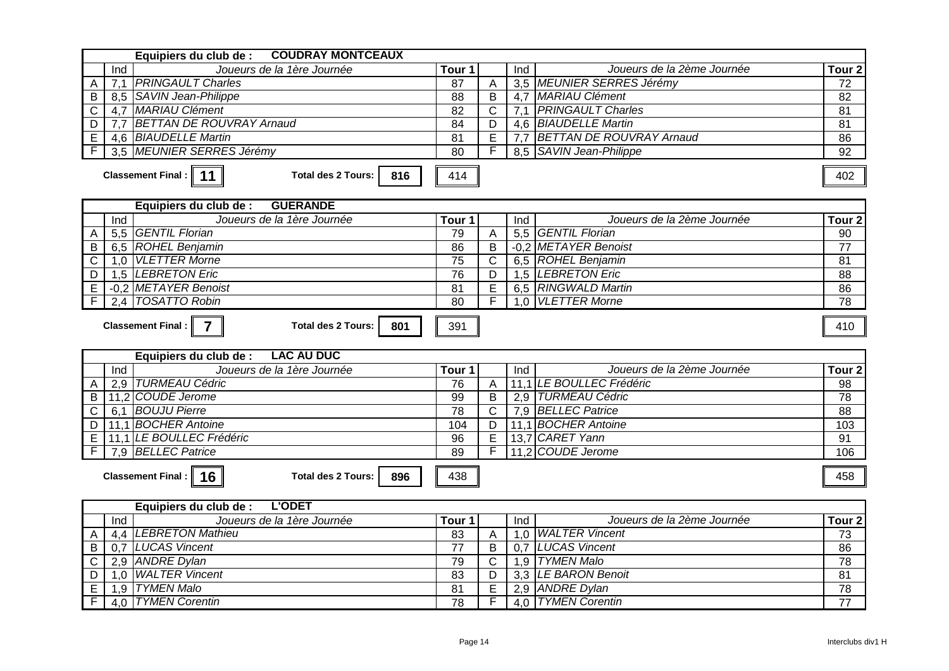|                                                                         | <b>COUDRAY MONTCEAUX</b><br>Equipiers du club de :                       |                      |                |     |                                       |                   |
|-------------------------------------------------------------------------|--------------------------------------------------------------------------|----------------------|----------------|-----|---------------------------------------|-------------------|
|                                                                         | Joueurs de la 1ère Journée<br>Ind                                        | $\overline{T}$ our 1 |                | Ind | Joueurs de la 2ème Journée            | Tour <sub>2</sub> |
| A                                                                       | 7,1 PRINGAULT Charles                                                    | 87                   | A              |     | 3.5 MEUNIER SERRES Jérémy             | 72                |
| В                                                                       | 8,5 SAVIN Jean-Philippe                                                  | $\overline{88}$      | $\overline{B}$ |     | 4,7 MARIAU Clément                    | 82                |
| C                                                                       | 4,7 MARIAU Clément                                                       | $\overline{82}$      | $\mathsf{C}$   |     | 7.1 PRINGAULT Charles                 | 81                |
| D                                                                       | 7.7 BETTAN DE ROUVRAY Arnaud                                             | 84                   | D              |     | 4,6 BIAUDELLE Martin                  | 81                |
| E                                                                       | 4,6 BIAUDELLE Martin                                                     | 81                   | $\overline{E}$ |     | 7.7 BETTAN DE ROUVRAY Arnaud          | $\overline{86}$   |
| F                                                                       | 3.5 MEUNIER SERRES Jérémy                                                | 80                   |                |     | 8.5   SAVIN Jean-Philippe             | 92                |
|                                                                         | Classement Final : 11<br><b>Total des 2 Tours:</b><br>816                | 414                  |                |     |                                       | 402               |
|                                                                         | <b>GUERANDE</b><br>Equipiers du club de :                                |                      |                |     |                                       |                   |
|                                                                         | Joueurs de la 1ère Journée<br>Ind                                        | Tour 1               |                | Ind | Joueurs de la 2ème Journée            | Tour <sub>2</sub> |
| A                                                                       | 5,5 GENTIL Florian                                                       | 79                   | $\overline{A}$ |     | 5,5 GENTIL Florian                    | 90                |
| В                                                                       | 6,5 ROHEL Benjamin                                                       | 86                   | B              |     | -0,2 METAYER Benoist                  | $\overline{77}$   |
| $\mathsf{C}$                                                            | 1,0 VLETTER Morne                                                        | $\overline{75}$      | $\overline{C}$ |     | 6,5 ROHEL Benjamin                    | $\overline{81}$   |
| D                                                                       | 1,5 LEBRETON Eric                                                        | 76                   | D              |     | 1.5 LEBRETON Eric                     | 88                |
| E                                                                       | -0.2 METAYER Benoist                                                     | 81                   | E              |     | 6,5 RINGWALD Martin                   | 86                |
| F                                                                       | <b>TOSATTO Robin</b><br>2.4                                              | $\overline{80}$      | F              |     | 1.0 VLETTER Morne                     | $\overline{78}$   |
|                                                                         | Classement Final :<br>$\overline{7}$<br><b>Total des 2 Tours:</b><br>801 | 391                  |                |     |                                       | 410               |
|                                                                         | <b>LAC AU DUC</b><br>Equipiers du club de :                              |                      |                |     |                                       |                   |
|                                                                         | Joueurs de la 1ère Journée<br>Ind                                        | Tour 1               |                | Ind | Joueurs de la 2ème Journée            | Tour <sub>2</sub> |
|                                                                         | 2,9 TURMEAU Cédric                                                       | 76                   | $\overline{A}$ |     | 11,1 LE BOULLEC Frédéric              | 98                |
| B                                                                       | 11,2 COUDE Jerome                                                        | 99                   | B              |     | 2,9 TURMEAU Cédric                    | 78                |
| C                                                                       | 6.1 BOUJU Pierre                                                         | $\overline{78}$      | $\mathsf{C}$   |     | 7,9 BELLEC Patrice                    | $\overline{88}$   |
| D                                                                       | 11,1 BOCHER Antoine                                                      | 104                  | $\overline{D}$ |     | 11.1 BOCHER Antoine                   | 103               |
| E                                                                       | 11,1 LE BOULLEC Frédéric                                                 | 96                   | $\mathsf E$    |     | 13,7 CARET Yann                       | 91                |
|                                                                         | 7,9 BELLEC Patrice                                                       | 89                   | F              |     | 11,2 COUDE Jerome                     | 106               |
| Classement Final: $\ $<br><b>Total des 2 Tours:</b><br>16<br>896<br>438 |                                                                          |                      |                |     |                                       |                   |
|                                                                         |                                                                          |                      |                |     |                                       | 458               |
|                                                                         | <b>L'ODET</b><br>Equipiers du club de :                                  |                      |                |     |                                       |                   |
|                                                                         | Joueurs de la 1ère Journée<br>Ind                                        | Tour 1               |                | Ind | Joueurs de la 2ème Journée            | Tour <sub>2</sub> |
| A                                                                       | 4,4   LEBRETON Mathieu                                                   | 83                   | $\overline{A}$ | 1,0 | <b>WALTER Vincent</b>                 | 73                |
| B                                                                       | 0.7 LUCAS Vincent                                                        | 77                   | B              |     | 0.7 LUCAS Vincent                     | 86                |
| C                                                                       | 2,9 ANDRE Dylan                                                          | 79                   | $\overline{C}$ |     | 1,9 TYMEN Malo                        | $\overline{78}$   |
| D                                                                       | <b>WALTER Vincent</b><br>1,0                                             | $\overline{83}$      | $\overline{D}$ |     | 3,3 LE BARON Benoit                   | $\overline{81}$   |
| E<br>F                                                                  | 1,9 TYMEN Malo<br>4,0 TYMEN Corentin                                     | 81<br>78             | E<br>F         |     | 2,9 ANDRE Dylan<br>4,0 TYMEN Corentin | 78<br>77          |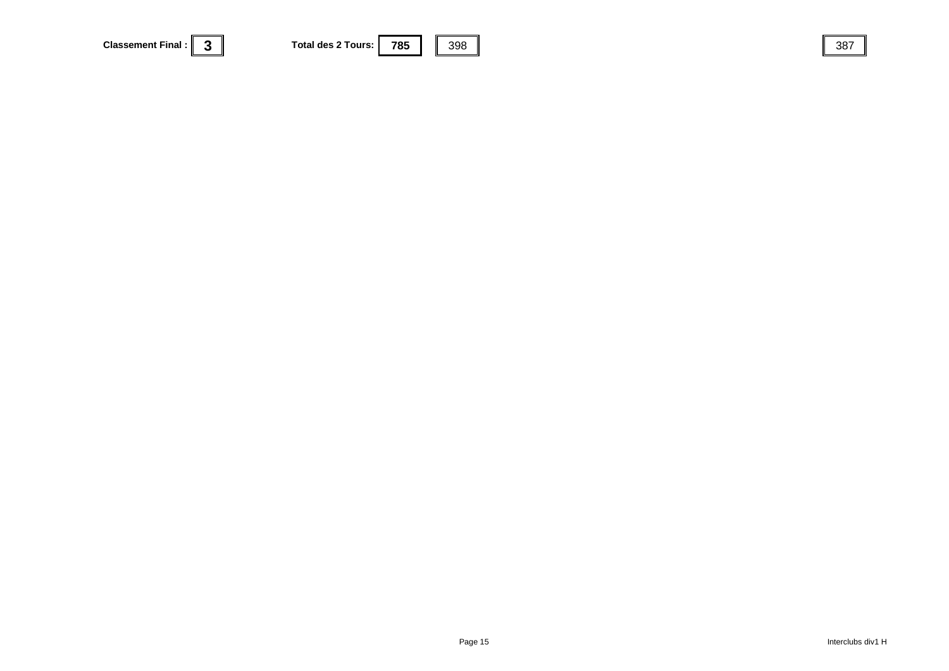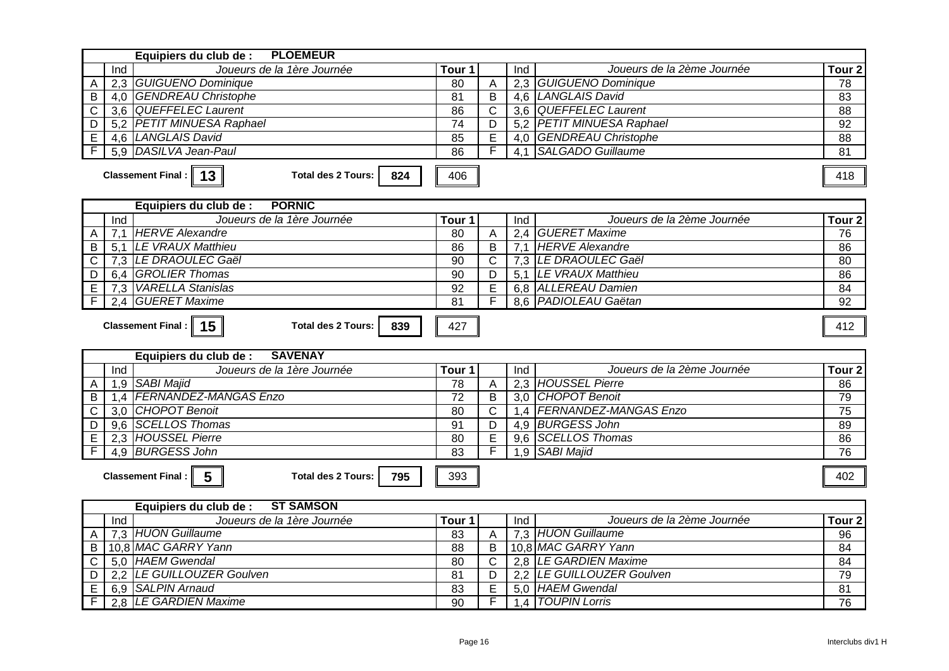| Equipiers du club de : PLOEMEUR                                                |                   |                |     |                                                 |                   |
|--------------------------------------------------------------------------------|-------------------|----------------|-----|-------------------------------------------------|-------------------|
| Joueurs de la 1ère Journée<br>Ind                                              | Tour 1            |                | Ind | Joueurs de la 2ème Journée                      | Tour <sub>2</sub> |
| 2,3 GUIGUENO Dominique<br>Α                                                    | 80                | A              |     | 2,3 GUIGUENO Dominique                          | 78                |
| 4,0 GENDREAU Christophe<br>B                                                   | 81                | B              |     | 4,6 LANGLAIS David                              | 83                |
| 3,6 QUEFFELEC Laurent<br>$\mathsf C$                                           | 86                | $\mathsf{C}$   | 3,6 | <b>QUEFFELEC Laurent</b>                        | $\overline{88}$   |
| 5.2 PETIT MINUESA Raphael<br>D                                                 | 74                | D              |     | 5.2 PETIT MINUESA Raphael                       | 92                |
| 4,6 LANGLAIS David<br>E                                                        | 85                | E              |     | 4.0 GENDREAU Christophe                         | 88                |
| F<br><b>DASILVA Jean-Paul</b><br>5.9                                           | 86                | F              | 4.1 | <b>SALGADO Guillaume</b>                        | 81                |
| Classement Final :   13  <br><b>Total des 2 Tours:</b><br>824                  | 406               |                |     |                                                 | 418               |
| <b>PORNIC</b><br>Equipiers du club de :                                        |                   |                |     |                                                 |                   |
| Joueurs de la 1ère Journée<br>Ind                                              | Tour 1            |                | Ind | Joueurs de la 2ème Journée                      | Tour <sub>2</sub> |
| 7,1 HERVE Alexandre<br>Α                                                       | 80                | A              |     | 2,4 GUERET Maxime                               | 76                |
| 5,1 LE VRAUX Matthieu<br>B                                                     | 86                | B              |     | 7,1 HERVE Alexandre                             | 86                |
| 7,3 LE DRAOULEC Gaël<br>C                                                      | 90                | C              |     | 7,3 LE DRAOULEC Gaël                            | 80                |
| 6,4 GROLIER Thomas<br>D                                                        | 90                | D              |     | 5,1 LE VRAUX Matthieu                           | 86                |
| 7,3 VARELLA Stanislas<br>$\overline{E}$                                        | 92                | E              |     | 6.8 ALLEREAU Damien                             | 84                |
| F<br>2.4 GUERET Maxime                                                         | $\overline{81}$   | F              |     | 8.6 PADIOLEAU Gaëtan                            | 92                |
| Classement Final :   15  <br><b>Total des 2 Tours:</b><br>839                  | 427               |                |     |                                                 | 412               |
| <b>SAVENAY</b><br>Equipiers du club de :                                       |                   |                |     |                                                 |                   |
| Joueurs de la 1ère Journée<br>Ind                                              | Tour <sub>1</sub> |                | Ind | Joueurs de la 2ème Journée                      | Tour <sub>2</sub> |
| 1,9 SABI Majid<br>Α                                                            | 78                | $\overline{A}$ |     | 2,3 HOUSSEL Pierre                              | 86                |
| 1,4 FERNANDEZ-MANGAS Enzo<br>B                                                 | 72                | B              |     | 3,0 CHOPOT Benoit                               | 79                |
| 3,0 CHOPOT Benoit<br>$\mathsf C$                                               | 80                | $\mathsf{C}$   |     |                                                 |                   |
|                                                                                |                   |                |     |                                                 | 75                |
| 9,6 SCELLOS Thomas                                                             | 91                | D              |     | 1,4   FERNANDEZ-MANGAS Enzo<br>4,9 BURGESS John | 89                |
| $\overline{D}$<br>2.3 HOUSSEL Pierre                                           | 80                | E              |     | 9.6 SCELLOS Thomas                              | 86                |
| E<br>F<br>4,9 BURGESS John                                                     | 83                | F              |     | 1,9 SABI Majid                                  | 76                |
| $5\phantom{1}$<br><b>Classement Final:</b><br><b>Total des 2 Tours:</b><br>795 | 393               |                |     |                                                 | 402               |
| <b>ST SAMSON</b><br>Equipiers du club de :                                     |                   |                |     |                                                 |                   |
| Joueurs de la 1ère Journée<br>Ind                                              | Tour 1            |                | Ind | Joueurs de la 2ème Journée                      | Tour <sub>2</sub> |
| 7,3 HUON Guillaume<br>A                                                        | 83                | A              |     | 7,3 HUON Guillaume                              | 96                |
| 10.8 MAC GARRY Yann<br>B                                                       | 88                | B              |     | 10,8 MAC GARRY Yann                             | 84                |
| 5,0 HAEM Gwendal<br>C                                                          | 80                | $\mathsf{C}$   |     | 2.8 LE GARDIEN Maxime                           | 84                |
| 2,2 LE GUILLOUZER Goulven<br>D                                                 | $\overline{81}$   | D              |     | 2,2 LE GUILLOUZER Goulven                       | 79                |
| $\overline{E}$<br>6,9 SALPIN Arnaud<br>F<br>2.8 LE GARDIEN Maxime              | 83<br>90          | E<br>F         |     | 5,0 HAEM Gwendal<br>1.4   TOUPIN Lorris         | 81<br>76          |